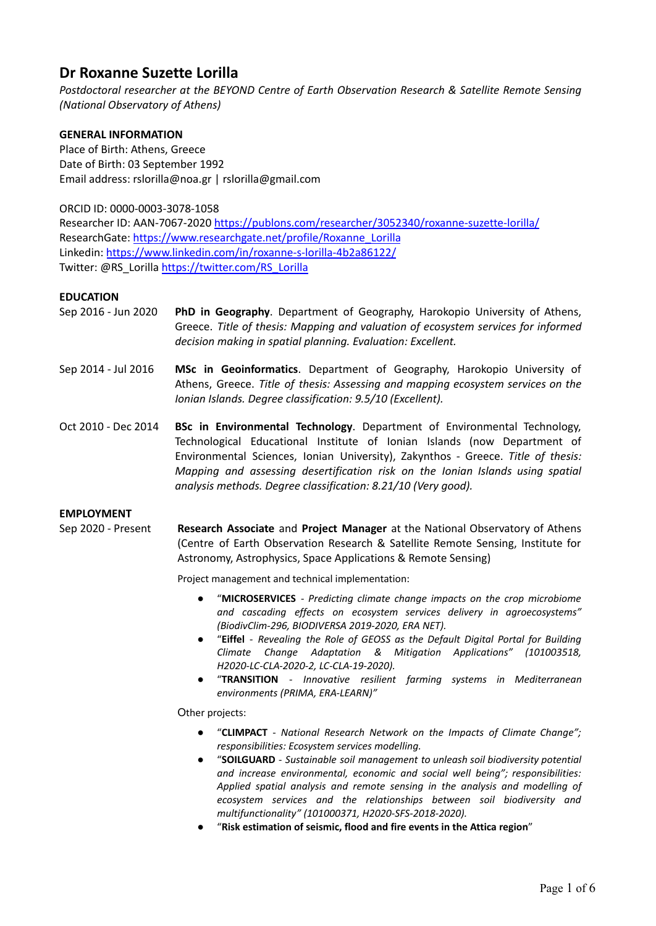# **Dr Roxanne Suzette Lorilla**

*Postdoctoral researcher at the BEYOND Centre of Earth Observation Research & Satellite Remote Sensing (National Observatory of Athens)*

# **GENERAL INFORMATION**

Place of Birth: Athens, Greece Date of Birth: 03 September 1992 Email address: rslorilla@noa.gr | rslorilla@gmail.com

ORCID ID: 0000-0003-3078-1058

Researcher ID: AAN-7067-2020 <https://publons.com/researcher/3052340/roxanne-suzette-lorilla/> ResearchGate: [https://www.researchgate.net/profile/Roxanne\\_Lorilla](https://www.researchgate.net/profile/Roxanne_Lorilla) Linkedin: <https://www.linkedin.com/in/roxanne-s-lorilla-4b2a86122/> Twitter: @RS\_Lorilla [https://twitter.com/RS\\_Lorilla](https://twitter.com/RS_Lorilla)

# **EDUCATION**

- Sep 2016 Jun 2020 **PhD in Geography**. Department of Geography, Harokopio University of Athens, Greece. *Title of thesis: Mapping and valuation of ecosystem services for informed decision making in spatial planning. Evaluation: Excellent.*
- Sep 2014 Jul 2016 **MSc in Geoinformatics**. Department of Geography, Harokopio University of Athens, Greece. *Title of thesis: Assessing and mapping ecosystem services on the Ionian Islands. Degree classification: 9.5/10 (Excellent).*
- Oct 2010 Dec 2014 **BSc in Environmental Technology**. Department of Environmental Technology, Technological Educational Institute of Ionian Islands (now Department of Environmental Sciences, Ionian University), Zakynthos - Greece. *Title of thesis: Mapping and assessing desertification risk on the Ionian Islands using spatial analysis methods. Degree classification: 8.21/10 (Very good).*

# **EMPLOYMENT**

Sep 2020 - Present **Research Associate** and **Project Manager** at the National Observatory of Athens (Centre of Earth Observation Research & Satellite Remote Sensing, Institute for Astronomy, Astrophysics, Space Applications & Remote Sensing)

Project management and technical implementation:

- *●* "**MICROSERVICES** *Predicting climate change impacts on the crop microbiome and cascading effects on ecosystem services delivery in agroecosystems" (BiodivClim-296, BIODIVERSA 2019-2020, ERA NET).*
- *●* "**Eiffel** *Revealing the Role of GEOSS as the Default Digital Portal for Building Climate Change Adaptation & Mitigation Applications" (101003518, H2020-LC-CLA-2020-2, LC-CLA-19-2020).*
- *●* "**TRANSITION** *- Innovative resilient farming systems in Mediterranean environments (PRIMA, ERA-LEARN)"*

Οther projects:

- *●* "**CLIMPACT** *National Research Network on the Impacts of Climate Change"; responsibilities: Ecosystem services modelling.*
- *●* "**SOILGUARD** *Sustainable soil management to unleash soil biodiversity potential and increase environmental, economic and social well being"; responsibilities: Applied spatial analysis and remote sensing in the analysis and modelling of ecosystem services and the relationships between soil biodiversity and multifunctionality" (101000371, H2020-SFS-2018-2020).*
- *●* "**Risk estimation of seismic, flood and fire events in the Attica region**"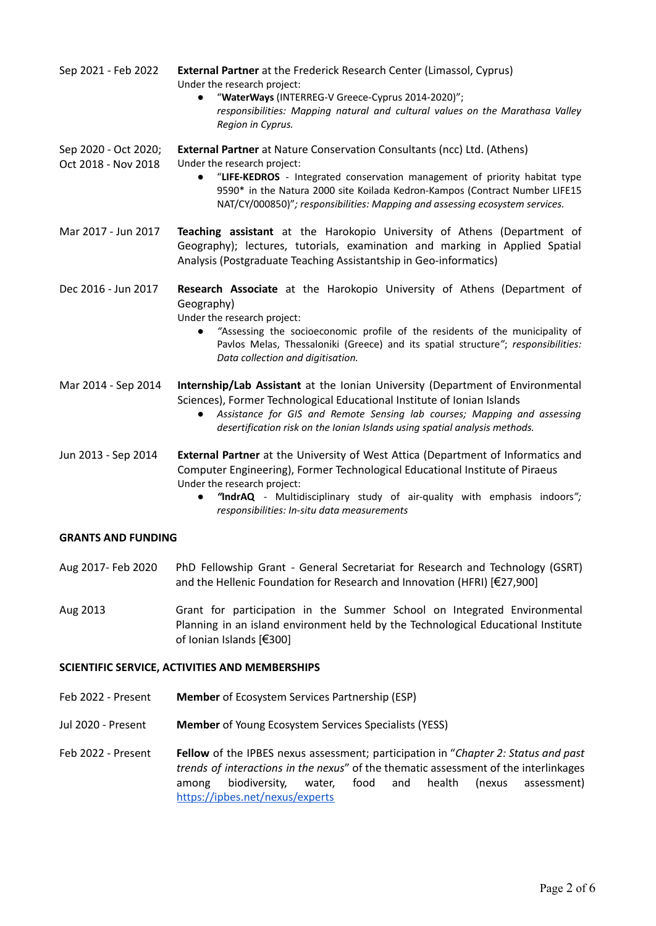| Sep 2021 - Feb 2022                         | <b>External Partner</b> at the Frederick Research Center (Limassol, Cyprus)<br>Under the research project:<br>"WaterWays (INTERREG-V Greece-Cyprus 2014-2020)";<br>responsibilities: Mapping natural and cultural values on the Marathasa Valley<br>Region in Cyprus.                                                                                                   |
|---------------------------------------------|-------------------------------------------------------------------------------------------------------------------------------------------------------------------------------------------------------------------------------------------------------------------------------------------------------------------------------------------------------------------------|
| Sep 2020 - Oct 2020;<br>Oct 2018 - Nov 2018 | <b>External Partner</b> at Nature Conservation Consultants (ncc) Ltd. (Athens)<br>Under the research project:<br>"LIFE-KEDROS - Integrated conservation management of priority habitat type<br>$\bullet$<br>9590* in the Natura 2000 site Koilada Kedron-Kampos (Contract Number LIFE15<br>NAT/CY/000850)"; responsibilities: Mapping and assessing ecosystem services. |
| Mar 2017 - Jun 2017                         | Teaching assistant at the Harokopio University of Athens (Department of<br>Geography); lectures, tutorials, examination and marking in Applied Spatial<br>Analysis (Postgraduate Teaching Assistantship in Geo-informatics)                                                                                                                                             |
| Dec 2016 - Jun 2017                         | Research Associate at the Harokopio University of Athens (Department of<br>Geography)<br>Under the research project:<br>"Assessing the socioeconomic profile of the residents of the municipality of<br>$\bullet$<br>Pavlos Melas, Thessaloniki (Greece) and its spatial structure"; responsibilities:<br>Data collection and digitisation.                             |
| Mar 2014 - Sep 2014                         | Internship/Lab Assistant at the Ionian University (Department of Environmental<br>Sciences), Former Technological Educational Institute of Ionian Islands<br>Assistance for GIS and Remote Sensing lab courses; Mapping and assessing<br>$\bullet$<br>desertification risk on the Ionian Islands using spatial analysis methods.                                        |
| Jun 2013 - Sep 2014                         | External Partner at the University of West Attica (Department of Informatics and<br>Computer Engineering), Former Technological Educational Institute of Piraeus<br>Under the research project:<br>"IndrAQ - Multidisciplinary study of air-quality with emphasis indoors";<br>$\bullet$<br>responsibilities: In-situ data measurements                                 |
| <b>GRANTS AND FUNDING</b>                   |                                                                                                                                                                                                                                                                                                                                                                         |
| Aug 2017- Feb 2020                          | PhD Fellowship Grant - General Secretariat for Research and Technology (GSRT)<br>and the Hellenic Foundation for Research and Innovation (HFRI) [€27,900]                                                                                                                                                                                                               |
| Aug 2013                                    | Grant for participation in the Summer School on Integrated Environmental<br>Planning in an island environment held by the Technological Educational Institute                                                                                                                                                                                                           |

#### **SCIENTIFIC SERVICE, ACTIVITIES AND MEMBERSHIPS**

Feb 2022 - Present **Member** of Ecosystem Services Partnership (ESP)

of Ionian Islands [€300]

Jul 2020 - Present **Member** of Young Ecosystem Services Specialists (YESS)

Feb 2022 - Present **Fellow** of the IPBES nexus assessment; participation in "*Chapter 2: Status and past trends of interactions in the nexus*" of the thematic assessment of the interlinkages among biodiversity, water, food and health (nexus assessment) <https://ipbes.net/nexus/experts>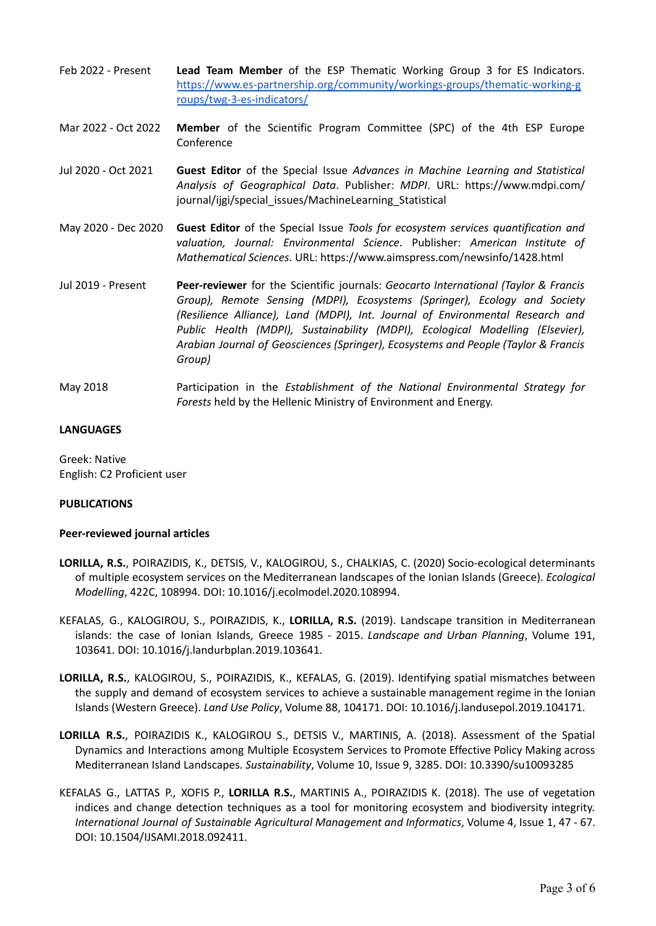- Feb 2022 Present **Lead Team Member** of the ESP Thematic Working Group 3 for ES Indicators. [https://www.es-partnership.org/community/workings-groups/thematic-working-g](https://www.es-partnership.org/community/workings-groups/thematic-working-groups/twg-3-es-indicators/) [roups/twg-3-es-indicators/](https://www.es-partnership.org/community/workings-groups/thematic-working-groups/twg-3-es-indicators/)
- Mar 2022 Oct 2022 **Member** of the Scientific Program Committee (SPC) of the 4th ESP Europe Conference
- Jul 2020 Oct 2021 **Guest Editor** of the Special Issue *Advances in Machine Learning and Statistical Analysis of Geographical Data*. Publisher: *MDPI*. URL: https://www.mdpi.com/ journal/ijgi/special\_issues/MachineLearning\_Statistical
- May 2020 Dec 2020 **Guest Editor** of the Special Issue *Tools for ecosystem services quantification and valuation, Journal: Environmental Science*. Publisher: *American Institute of Mathematical Sciences*. URL: https://www.aimspress.com/newsinfo/1428.html
- Jul 2019 Present **Peer-reviewer** for the Scientific journals: *Geocarto International (Taylor & Francis Group), Remote Sensing (MDPI), Ecosystems (Springer), Ecology and Society (Resilience Alliance), Land (MDPI), Int. Journal of Environmental Research and Public Health (MDPI), Sustainability (MDPI), Ecological Modelling (Elsevier), Arabian Journal of Geosciences (Springer), Ecosystems and People (Taylor & Francis Group)*
- May 2018 Participation in the *Establishment of the National Environmental Strategy for Forests* held by the Hellenic Ministry of Environment and Energy.

# **LANGUAGES**

Greek: Native English: C2 Proficient user

# **PUBLICATIONS**

# **Peer-reviewed journal articles**

- **LORILLA, R.S.**, POIRAZIDIS, K., DETSIS, V., KALOGIROU, S., CHALKIAS, C. (2020) Socio-ecological determinants of multiple ecosystem services on the Mediterranean landscapes of the Ionian Islands (Greece). *Ecological Modelling*, 422C, 108994. DOI: 10.1016/j.ecolmodel.2020.108994.
- KEFALAS, G., KALOGIROU, S., POIRAZIDIS, K., **LORILLA, R.S.** (2019). Landscape transition in Mediterranean islands: the case of Ionian Islands, Greece 1985 - 2015. *Landscape and Urban Planning*, Volume 191, 103641. DOI: 10.1016/j.landurbplan.2019.103641.
- **LORILLA, R.S.**, KALOGIROU, S., POIRAZIDIS, K., KEFALAS, G. (2019). Identifying spatial mismatches between the supply and demand of ecosystem services to achieve a sustainable management regime in the Ionian Islands (Western Greece). *Land Use Policy*, Volume 88, 104171. DOI: 10.1016/j.landusepol.2019.104171.
- **LORILLA R.S.**, POIRAZIDIS K., KALOGIROU S., DETSIS V., MARTINIS, A. (2018). Assessment of the Spatial Dynamics and Interactions among Multiple Ecosystem Services to Promote Effective Policy Making across Mediterranean Island Landscapes. *Sustainability*, Volume 10, Issue 9, 3285. DOI: 10.3390/su10093285
- KEFALAS G., LATTAS P., XOFIS P., **LORILLA R.S.**, MARTINIS A., POIRAZIDIS K. (2018). The use of vegetation indices and change detection techniques as a tool for monitoring ecosystem and biodiversity integrity. *International Journal of Sustainable Agricultural Management and Informatics*, Volume 4, Issue 1, 47 - 67. DOI: 10.1504/IJSAMI.2018.092411.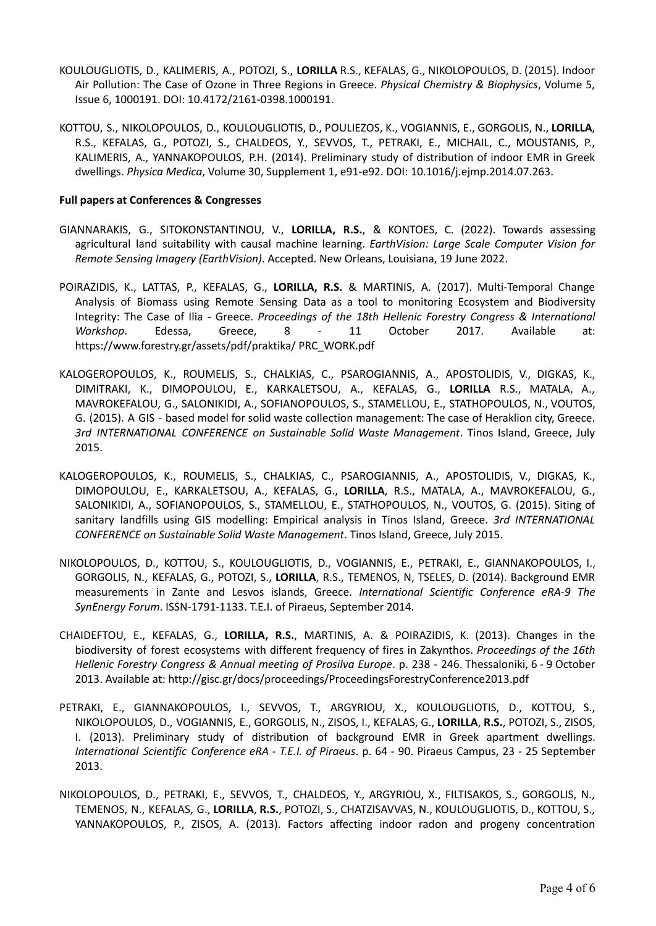- KOULOUGLIOTIS, D., KALIMERIS, A., POTOZI, S., **LORILLA** R.S., KEFALAS, G., NIKOLOPOULOS, D. (2015). Indoor Air Pollution: The Case of Ozone in Three Regions in Greece. *Physical Chemistry & Biophysics*, Volume 5, Issue 6, 1000191. DOI: 10.4172/2161-0398.1000191.
- KOTTOU, S., NIKOLOPOULOS, D., KOULOUGLIOTIS, D., POULIEZOS, K., VOGIANNIS, E., GORGOLIS, N., **LORILLA**, R.S., KEFALAS, G., POTOZI, S., CHALDEOS, Y., SEVVOS, T., PETRAKI, E., MICHAIL, C., MOUSTANIS, P., KALIMERIS, A., YANNAKOPOULOS, P.H. (2014). Preliminary study of distribution of indoor EMR in Greek dwellings. *Physica Medica*, Volume 30, Supplement 1, e91-e92. DOI: 10.1016/j.ejmp.2014.07.263.

### **Full papers at Conferences & Congresses**

- GIANNARAKIS, G., SITOKONSTANTINOU, V., **LORILLA, R.S.**, & KONTOES, C. (2022). Towards assessing agricultural land suitability with causal machine learning. *EarthVision: Large Scale Computer Vision for Remote Sensing Imagery (EarthVision)*. Accepted. New Orleans, Louisiana, 19 June 2022.
- POIRAZIDIS, K., LATTAS, P., KEFALAS, G., **LORILLA, R.S.** & MARTINIS, A. (2017). Multi-Temporal Change Analysis of Biomass using Remote Sensing Data as a tool to monitoring Ecosystem and Biodiversity Integrity: The Case of Ilia - Greece. *Proceedings of the 18th Hellenic Forestry Congress & International Workshop*. Edessa, Greece, 8 - 11 October 2017. Available at: https://www.forestry.gr/assets/pdf/praktika/ PRC\_WORK.pdf
- KALOGEROPOULOS, K., ROUMELIS, S., CHALKIAS, C., PSAROGIANNIS, A., APOSTOLIDIS, V., DIGKAS, K., DIMITRAKI, K., DIMOPOULOU, E., KARKALETSOU, A., KEFALAS, G., **LORILLA** R.S., MATALA, A., MAVROKEFALOU, G., SALONIKIDI, A., SOFIANOPOULOS, S., STAMELLOU, E., STATHOPOULOS, N., VOUTOS, G. (2015). A GIS - based model for solid waste collection management: The case of Heraklion city, Greece. *3rd INTERNATIONAL CONFERENCE on Sustainable Solid Waste Management*. Tinos Island, Greece, July 2015.
- KALOGEROPOULOS, K., ROUMELIS, S., CHALKIAS, C., PSAROGIANNIS, A., APOSTOLIDIS, V., DIGKAS, K., DIMOPOULOU, E., KARKALETSOU, A., KEFALAS, G., **LORILLA**, R.S., MATALA, A., MAVROKEFALOU, G., SALONIKIDI, A., SOFIANOPOULOS, S., STAMELLOU, E., STATHOPOULOS, N., VOUTOS, G. (2015). Siting of sanitary landfills using GIS modelling: Empirical analysis in Tinos Island, Greece. *3rd INTERNATIONAL CONFERENCE on Sustainable Solid Waste Management*. Tinos Island, Greece, July 2015.
- NIKOLOPOULOS, D., KOTTOU, S., KOULOUGLIOTIS, D., VOGIANNIS, E., PETRAKI, E., GIANNAKOPOULOS, I., GORGOLIS, N., KEFALAS, G., POTOZI, S., **LORILLA**, R.S., TEMENOS, N, TSELES, D. (2014). Background EMR measurements in Zante and Lesvos islands, Greece. *International Scientific Conference eRA-9 The SynEnergy Forum*. ISSN-1791-1133. T.E.I. of Piraeus, September 2014.
- CHAIDEFTOU, E., KEFALAS, G., **LORILLA, R.S.**, MARTINIS, A. & POIRAZIDIS, K. (2013). Changes in the biodiversity of forest ecosystems with different frequency of fires in Zakynthos. *Proceedings of the 16th Hellenic Forestry Congress & Annual meeting of Prosilva Europe*. p. 238 - 246. Thessaloniki, 6 - 9 October 2013. Available at: http://gisc.gr/docs/proceedings/ProceedingsForestryConference2013.pdf
- PETRAKI, E., GIANNAKOPOULOS, I., SEVVOS, T., ARGYRIOU, X., KOULOUGLIOTIS, D., KOTTOU, S., NIKOLOPOULOS, D., VOGIANNIS, E., GORGOLIS, N., ZISOS, I., KEFALAS, G., **LORILLA**, **R.S.**, POTOZI, S., ZISOS, I. (2013). Preliminary study of distribution of background EMR in Greek apartment dwellings. *International Scientific Conference eRA - T.E.I. of Piraeus*. p. 64 - 90. Piraeus Campus, 23 - 25 September 2013.
- NIKOLOPOULOS, D., PETRAKI, E., SEVVOS, T., CHALDEOS, Y., ARGYRIOU, X., FILTISAKOS, S., GORGOLIS, N., TEMENOS, N., KEFALAS, G., **LORILLA**, **R.S.**, POTOZI, S., CHATZISAVVAS, N., KOULOUGLIOTIS, D., KOTTOU, S., YANNAKOPOULOS, P., ZISOS, A. (2013). Factors affecting indoor radon and progeny concentration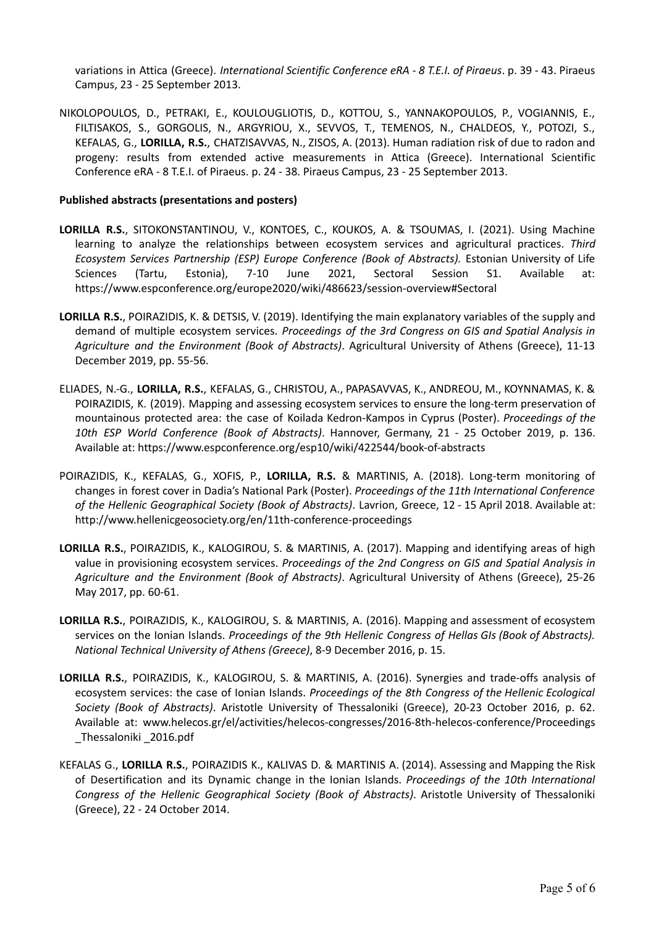variations in Attica (Greece). *International Scientific Conference eRA - 8 T.E.I. of Piraeus*. p. 39 - 43. Piraeus Campus, 23 - 25 September 2013.

NIKOLOPOULOS, D., PETRAKI, E., KOULOUGLIOTIS, D., KOTTOU, S., YANNAKOPOULOS, P., VOGIANNIS, E., FILTISAKOS, S., GORGOLIS, N., ARGYRIOU, X., SEVVOS, T., TEMENOS, N., CHALDEOS, Y., POTOZI, S., KEFALAS, G., **LORILLA, R.S.**, CHATZISAVVAS, N., ZISOS, A. (2013). Human radiation risk of due to radon and progeny: results from extended active measurements in Attica (Greece). International Scientific Conference eRA - 8 T.E.I. of Piraeus. p. 24 - 38. Piraeus Campus, 23 - 25 September 2013.

#### **Published abstracts (presentations and posters)**

- **LORILLA R.S.**, SITOKONSTANTINOU, V., KONTOES, C., KOUKOS, A. & TSOUMAS, I. (2021). Using Machine learning to analyze the relationships between ecosystem services and agricultural practices. *Third Ecosystem Services Partnership (ESP) Europe Conference (Book of Abstracts).* Estonian University of Life Sciences (Tartu, Estonia), 7-10 June 2021, Sectoral Session S1. Available at: https://www.espconference.org/europe2020/wiki/486623/session-overview#Sectoral
- **LORILLA R.S.**, POIRAZIDIS, K. & DETSIS, V. (2019). Identifying the main explanatory variables of the supply and demand of multiple ecosystem services. *Proceedings of the 3rd Congress on GIS and Spatial Analysis in Agriculture and the Environment (Book of Abstracts)*. Agricultural University of Athens (Greece), 11-13 December 2019, pp. 55-56.
- ELIADES, N.-G., **LORILLA, R.S.**, KEFALAS, G., CHRISTOU, A., PAPASAVVAS, K., ANDREOU, M., KOYNNAMAS, K. & POIRAZIDIS, K. (2019). Mapping and assessing ecosystem services to ensure the long-term preservation of mountainous protected area: the case of Koilada Kedron-Kampos in Cyprus (Poster). *Proceedings of the 10th ESP World Conference (Book of Abstracts)*. Hannover, Germany, 21 - 25 October 2019, p. 136. Available at: https://www.espconference.org/esp10/wiki/422544/book-of-abstracts
- POIRAZIDIS, K., KEFALAS, G., XOFIS, P., **LORILLA, R.S.** & MARTINIS, A. (2018). Long-term monitoring of changes in forest cover in Dadia's National Park (Poster). *Proceedings of the 11th International Conference of the Hellenic Geographical Society (Book of Abstracts)*. Lavrion, Greece, 12 - 15 April 2018. Available at: http://www.hellenicgeosociety.org/en/11th-conference-proceedings
- **LORILLA R.S.**, POIRAZIDIS, K., KALOGIROU, S. & MARTINIS, A. (2017). Mapping and identifying areas of high value in provisioning ecosystem services. *Proceedings of the 2nd Congress on GIS and Spatial Analysis in Agriculture and the Environment (Book of Abstracts)*. Agricultural University of Athens (Greece), 25-26 May 2017, pp. 60-61.
- **LORILLA R.S.**, POIRAZIDIS, K., KALOGIROU, S. & MARTINIS, A. (2016). Mapping and assessment of ecosystem services on the Ionian Islands. *Proceedings of the 9th Hellenic Congress of Hellas GIs (Book of Abstracts). National Technical University of Athens (Greece)*, 8-9 December 2016, p. 15.
- **LORILLA R.S.**, POIRAZIDIS, K., KALOGIROU, S. & MARTINIS, A. (2016). Synergies and trade-offs analysis of ecosystem services: the case of Ionian Islands. *Proceedings of the 8th Congress of the Hellenic Ecological Society (Book of Abstracts)*. Aristotle University of Thessaloniki (Greece), 20-23 October 2016, p. 62. Available at: www.helecos.gr/el/activities/helecos-congresses/2016-8th-helecos-conference/Proceedings \_Thessaloniki \_2016.pdf
- KEFALAS G., **LORILLA R.S.**, POIRAZIDIS K., KALIVAS D. & MARTINIS A. (2014). Assessing and Mapping the Risk of Desertification and its Dynamic change in the Ionian Islands. *Proceedings of the 10th International Congress of the Hellenic Geographical Society (Book of Abstracts)*. Aristotle University of Thessaloniki (Greece), 22 - 24 October 2014.